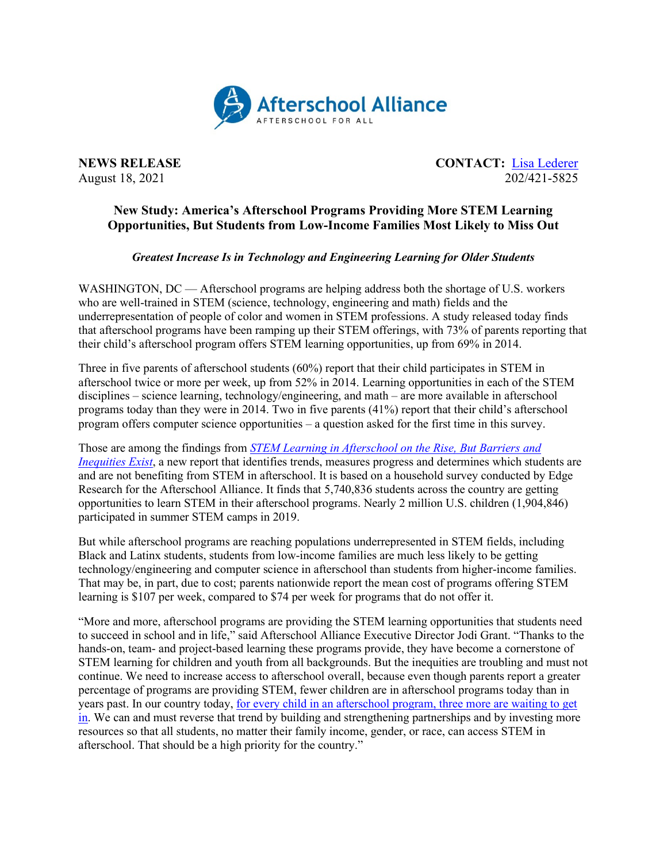

**NEWS RELEASE CONTACT:** [Lisa Lederer](mailto:lisa@prsolutionsdc.com) August 18, 2021 202/421-5825

## **New Study: America's Afterschool Programs Providing More STEM Learning Opportunities, But Students from Low-Income Families Most Likely to Miss Out**

## *Greatest Increase Is in Technology and Engineering Learning for Older Students*

WASHINGTON, DC — Afterschool programs are helping address both the shortage of U.S. workers who are well-trained in STEM (science, technology, engineering and math) fields and the underrepresentation of people of color and women in STEM professions. A study released today finds that afterschool programs have been ramping up their STEM offerings, with 73% of parents reporting that their child's afterschool program offers STEM learning opportunities, up from 69% in 2014.

Three in five parents of afterschool students (60%) report that their child participates in STEM in afterschool twice or more per week, up from 52% in 2014. Learning opportunities in each of the STEM disciplines – science learning, technology/engineering, and math – are more available in afterschool programs today than they were in 2014. Two in five parents (41%) report that their child's afterschool program offers computer science opportunities – a question asked for the first time in this survey.

Those are among the findings from *[STEM Learning in Afterschool on the Rise, But Barriers and](http://afterschoolalliance.org/documents/AA3PM/AA3PM-STEM-Report-2021.pdf)  [Inequities Exist](http://afterschoolalliance.org/documents/AA3PM/AA3PM-STEM-Report-2021.pdf)*, a new report that identifies trends, measures progress and determines which students are and are not benefiting from STEM in afterschool. It is based on a household survey conducted by Edge Research for the Afterschool Alliance. It finds that 5,740,836 students across the country are getting opportunities to learn STEM in their afterschool programs. Nearly 2 million U.S. children (1,904,846) participated in summer STEM camps in 2019.

But while afterschool programs are reaching populations underrepresented in STEM fields, including Black and Latinx students, students from low-income families are much less likely to be getting technology/engineering and computer science in afterschool than students from higher-income families. That may be, in part, due to cost; parents nationwide report the mean cost of programs offering STEM learning is \$107 per week, compared to \$74 per week for programs that do not offer it.

"More and more, afterschool programs are providing the STEM learning opportunities that students need to succeed in school and in life," said Afterschool Alliance Executive Director Jodi Grant. "Thanks to the hands-on, team- and project-based learning these programs provide, they have become a cornerstone of STEM learning for children and youth from all backgrounds. But the inequities are troubling and must not continue. We need to increase access to afterschool overall, because even though parents report a greater percentage of programs are providing STEM, fewer children are in afterschool programs today than in years past. In our country today, [for every child in an afterschool program, three more are waiting to get](http://afterschoolalliance.org/press_archives/AA3PM-2020/National-AA3PM-2020-NR.pdf)  [in.](http://afterschoolalliance.org/press_archives/AA3PM-2020/National-AA3PM-2020-NR.pdf) We can and must reverse that trend by building and strengthening partnerships and by investing more resources so that all students, no matter their family income, gender, or race, can access STEM in afterschool. That should be a high priority for the country."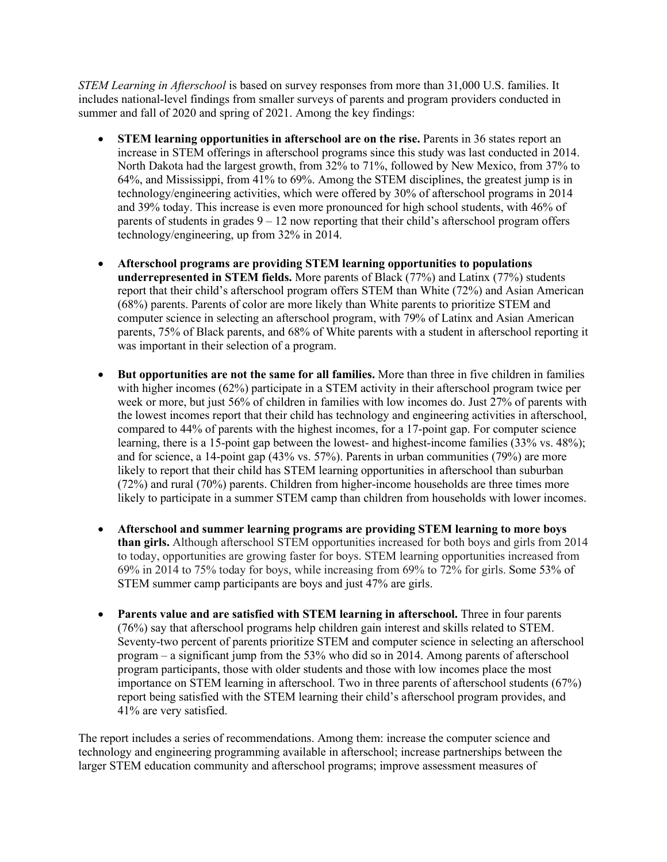*STEM Learning in Afterschool* is based on survey responses from more than 31,000 U.S. families. It includes national-level findings from smaller surveys of parents and program providers conducted in summer and fall of 2020 and spring of 2021. Among the key findings:

- **STEM learning opportunities in afterschool are on the rise.** Parents in 36 states report an increase in STEM offerings in afterschool programs since this study was last conducted in 2014. North Dakota had the largest growth, from 32% to 71%, followed by New Mexico, from 37% to 64%, and Mississippi, from 41% to 69%. Among the STEM disciplines, the greatest jump is in technology/engineering activities, which were offered by 30% of afterschool programs in 2014 and 39% today. This increase is even more pronounced for high school students, with 46% of parents of students in grades  $9 - 12$  now reporting that their child's afterschool program offers technology/engineering, up from 32% in 2014.
- **Afterschool programs are providing STEM learning opportunities to populations underrepresented in STEM fields.** More parents of Black (77%) and Latinx (77%) students report that their child's afterschool program offers STEM than White (72%) and Asian American (68%) parents. Parents of color are more likely than White parents to prioritize STEM and computer science in selecting an afterschool program, with 79% of Latinx and Asian American parents, 75% of Black parents, and 68% of White parents with a student in afterschool reporting it was important in their selection of a program.
- **But opportunities are not the same for all families.** More than three in five children in families with higher incomes (62%) participate in a STEM activity in their afterschool program twice per week or more, but just 56% of children in families with low incomes do. Just 27% of parents with the lowest incomes report that their child has technology and engineering activities in afterschool, compared to 44% of parents with the highest incomes, for a 17-point gap. For computer science learning, there is a 15-point gap between the lowest- and highest-income families (33% vs. 48%); and for science, a 14-point gap (43% vs. 57%). Parents in urban communities (79%) are more likely to report that their child has STEM learning opportunities in afterschool than suburban (72%) and rural (70%) parents. Children from higher-income households are three times more likely to participate in a summer STEM camp than children from households with lower incomes.
- **Afterschool and summer learning programs are providing STEM learning to more boys than girls.** Although afterschool STEM opportunities increased for both boys and girls from 2014 to today, opportunities are growing faster for boys. STEM learning opportunities increased from 69% in 2014 to 75% today for boys, while increasing from 69% to 72% for girls. Some 53% of STEM summer camp participants are boys and just 47% are girls.
- **Parents value and are satisfied with STEM learning in afterschool.** Three in four parents (76%) say that afterschool programs help children gain interest and skills related to STEM. Seventy-two percent of parents prioritize STEM and computer science in selecting an afterschool program – a significant jump from the 53% who did so in 2014. Among parents of afterschool program participants, those with older students and those with low incomes place the most importance on STEM learning in afterschool. Two in three parents of afterschool students (67%) report being satisfied with the STEM learning their child's afterschool program provides, and 41% are very satisfied.

The report includes a series of recommendations. Among them: increase the computer science and technology and engineering programming available in afterschool; increase partnerships between the larger STEM education community and afterschool programs; improve assessment measures of